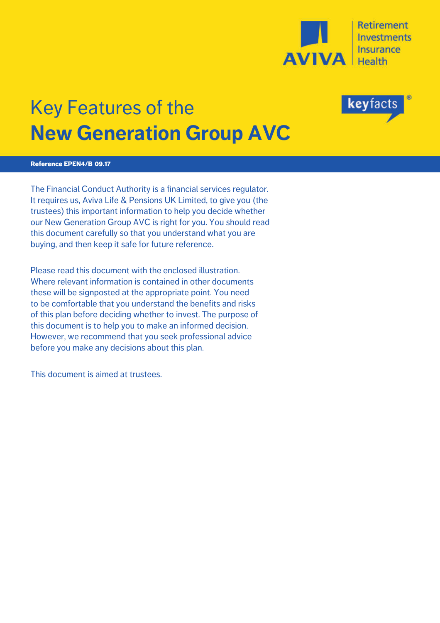

## Key Features of the **New Generation Group AVC**

# tacts

#### **Reference EPEN4/B 09.17**

The Financial Conduct Authority is a financial services regulator. It requires us, Aviva Life & Pensions UK Limited, to give you (the trustees) this important information to help you decide whether our New Generation Group AVC is right for you. You should read this document carefully so that you understand what you are buying, and then keep it safe for future reference.

Please read this document with the enclosed illustration. Where relevant information is contained in other documents these will be signposted at the appropriate point. You need to be comfortable that you understand the benefits and risks of this plan before deciding whether to invest. The purpose of this document is to help you to make an informed decision. However, we recommend that you seek professional advice before you make any decisions about this plan.

This document is aimed at trustees.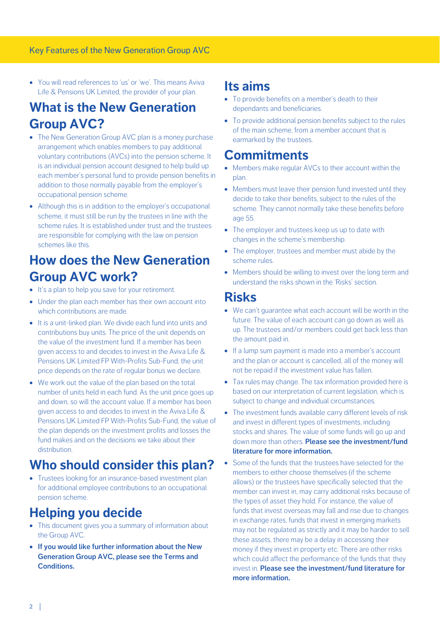· You will read references to 'us' or 'we'. This means Aviva Life & Pensions UK Limited, the provider of your plan.

## **What is the New Generation Group AVC?**

- The New Generation Group AVC plan is a money purchase arrangement which enables members to pay additional voluntary contributions (AVCs) into the pension scheme. It is an individual pension account designed to help build up each member's personal fund to provide pension benefits in addition to those normally payable from the employer's occupational pension scheme.
- Although this is in addition to the employer's occupational scheme, it must still be run by the trustees in line with the scheme rules. It is established under trust and the trustees are responsible for complying with the law on pension schemes like this.

## **How does the New Generation Group AVC work?**

- · It's a plan to help you save for your retirement.
- Under the plan each member has their own account into which contributions are made.
- It is a unit-linked plan. We divide each fund into units and contributions buy units. The price of the unit depends on the value of the investment fund. If a member has been given access to and decides to invest in the Aviva Life & Pensions UK Limited FP With-Profits Sub-Fund, the unit price depends on the rate of regular bonus we declare.
- ·We work out the value of the plan based on the total number of units held in each fund. As the unit price goes up and down, so will the account value. If a member has been given access to and decides to invest in the Aviva Life & Pensions UK Limited FP With-Profits Sub-Fund, the value of the plan depends on the investment profits and losses the fund makes and on the decisions we take about their distribution.

## **Who should consider this plan?**

· Trustees looking for an insurance-based investment plan for additional employee contributions to an occupational pension scheme.

## **Helping you decide**

- · This document gives you a summary of information about the Group AVC.
- · **If you would like further information about the New Generation Group AVC, please see the Terms and Conditions.**

## **Its aims**

- · To provide benefits on a member's death to their dependants and beneficiaries.
- To provide additional pension benefits subject to the rules of the main scheme, from a member account that is earmarked by the trustees.

## **Commitments**

- · Members make regular AVCs to their account within the plan.
- · Members must leave their pension fund invested until they decide to take their benefits, subject to the rules of the scheme. They cannot normally take these benefits before age 55.
- The employer and trustees keep us up to date with changes in the scheme's membership.
- · The employer, trustees and member must abide by the scheme rules.
- · Members should be willing to invest over the long term and understand the risks shown in the 'Risks' section.

### **Risks**

- · We can't guarantee what each account will be worth in the future. The value of each account can go down as well as up. The trustees and/or members could get back less than the amount paid in.
- · If a lump sum payment is made into a member's account and the plan or account is cancelled, all of the money will not be repaid if the investment value has fallen.
- Tax rules may change. The tax information provided here is based on our interpretation of current legislation, which is subject to change and individual circumstances.
- · The investment funds available carry different levels of risk and invest in different types of investments, including stocks and shares. The value of some funds will go up and down more than others. **Please see the investment/fund literature for more information.**
- · Some of the funds that the trustees have selected for the members to either choose themselves (if the scheme allows) or the trustees have specifically selected that the member can invest in, may carry additional risks because of the types of asset they hold. For instance, the value of funds that invest overseas may fall and rise due to changes in exchange rates, funds that invest in emerging markets may not be regulated as strictly and it may be harder to sell these assets, there may be a delay in accessing their money if they invest in property etc. There are other risks which could affect the performance of the funds that they invest in. **Please see the investment/fund literature for more information.**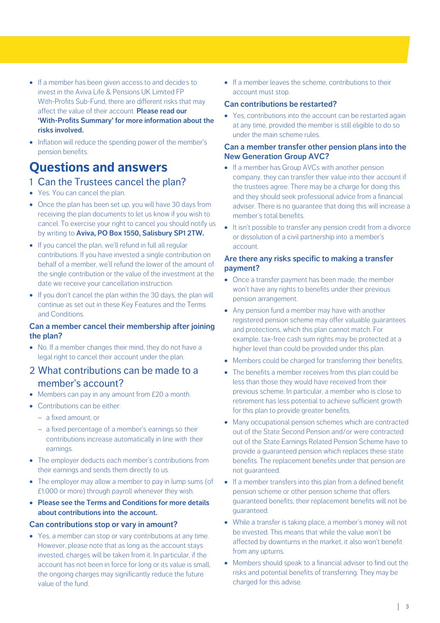- · If a member has been given access to and decides to invest in the Aviva Life & Pensions UK Limited FP With-Profits Sub-Fund, there are different risks that may affect the value of their account. **Please read our 'With-Profits Summary' for more information about the risks involved.**
- · Inflation will reduce the spending power of the member's pension benefits.

## **Questions and answers**

- 1 Can the Trustees cancel the plan?
- Yes. You can cancel the plan.
- · Once the plan has been set up, you will have 30 days from receiving the plan documents to let us know if you wish to cancel. To exercise your right to cancel you should notify us by writing to **Aviva, PO Box 1550, Salisbury SP1 2TW.**
- · If you cancel the plan, we'll refund in full all regular contributions. If you have invested a single contribution on behalf of a member, we'll refund the lower of the amount of the single contribution or the value of the investment at the date we receive your cancellation instruction.
- · If you don't cancel the plan within the 30 days, the plan will continue as set out in these Key Features and the Terms and Conditions.

#### **Can a member cancel their membership after joining the plan?**

- · No. If a member changes their mind, they do not have a legal right to cancel their account under the plan.
- 2 What contributions can be made to a member's account?
- · Members can pay in any amount from £20 a month.
- · Contributions can be either:
	- a fixed amount, or
	- a fixed percentage of a member's earnings so their contributions increase automatically in line with their earnings.
- · The employer deducts each member's contributions from their earnings and sends them directly to us.
- · The employer may allow a member to pay in lump sums (of £1,000 or more) through payroll whenever they wish.
- · **Please see the Terms and Conditions for more details about contributions into the account.**

#### **Can contributions stop or vary in amount?**

· Yes, a member can stop or vary contributions at any time. However, please note that as long as the account stays invested, charges will be taken from it. In particular, if the account has not been in force for long or its value is small, the ongoing charges may significantly reduce the future value of the fund.

· If a member leaves the scheme, contributions to their account must stop.

#### **Can contributions be restarted?**

• Yes, contributions into the account can be restarted again at any time, provided the member is still eligible to do so under the main scheme rules.

#### **Can a member transfer other pension plans into the New Generation Group AVC?**

- If a member has Group AVCs with another pension company, they can transfer their value into their account if the trustees agree. There may be a charge for doing this and they should seek professional advice from a financial adviser. There is no guarantee that doing this will increase a member's total benefits.
- · It isn't possible to transfer any pension credit from a divorce or dissolution of a civil partnership into a member's account.

#### **Are there any risks specific to making a transfer payment?**

- · Once a transfer payment has been made, the member won't have any rights to benefits under their previous pension arrangement.
- Any pension fund a member may have with another registered pension scheme may offer valuable guarantees and protections, which this plan cannot match. For example, tax-free cash sum rights may be protected at a higher level than could be provided under this plan.
- · Members could be charged for transferring their benefits.
- · The benefits a member receives from this plan could be less than those they would have received from their previous scheme. In particular, a member who is close to retirement has less potential to achieve sufficient growth for this plan to provide greater benefits.
- · Many occupational pension schemes which are contracted out of the State Second Pension and/or were contracted out of the State Earnings Related Pension Scheme have to provide a guaranteed pension which replaces these state benefits. The replacement benefits under that pension are not guaranteed.
- · If a member transfers into this plan from a defined benefit pension scheme or other pension scheme that offers guaranteed benefits, their replacement benefits will not be guaranteed.
- While a transfer is taking place, a member's money will not be invested. This means that while the value won't be affected by downturns in the market, it also won't benefit from any upturns.
- · Members should speak to a financial adviser to find out the risks and potential benefits of transferring. They may be charged for this advise.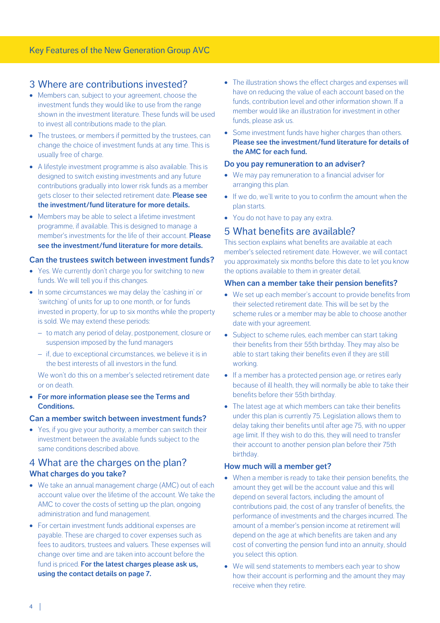#### 3 Where are contributions invested?

- · Members can, subject to your agreement, choose the investment funds they would like to use from the range shown in the investment literature. These funds will be used to invest all contributions made to the plan.
- The trustees, or members if permitted by the trustees, can change the choice of investment funds at any time. This is usually free of charge.
- A lifestyle investment programme is also available. This is designed to switch existing investments and any future contributions gradually into lower risk funds as a member gets closer to their selected retirement date. **Please see the investment/fund literature for more details.**
- · Members may be able to select a lifetime investment programme, if available. This is designed to manage a member's investments for the life of their account. **Please see the investment/fund literature for more details.**

#### **Can the trustees switch between investment funds?**

- Yes. We currently don't charge you for switching to new funds. We will tell you if this changes.
- · In some circumstances we may delay the 'cashing in' or 'switching' of units for up to one month, or for funds invested in property, for up to six months while the property is sold. We may extend these periods:
	- to match any period of delay, postponement, closure or suspension imposed by the fund managers
	- if, due to exceptional circumstances, we believe it is in the best interests of all investors in the fund.

We won't do this on a member's selected retirement date or on death.

· **For more information please see the Terms and Conditions.**

#### **Can a member switch between investment funds?**

• Yes, if you give your authority, a member can switch their investment between the available funds subject to the same conditions described above.

#### 4 What are the charges on the plan? **What charges do you take?**

- · We take an annual management charge (AMC) out of each account value over the lifetime of the account. We take the AMC to cover the costs of setting up the plan, ongoing administration and fund management.
- · For certain investment funds additional expenses are payable. These are charged to cover expenses such as fees to auditors, trustees and valuers. These expenses will change over time and are taken into account before the fund is priced. **For the latest charges please ask us, using the contact details on page 7.**
- The illustration shows the effect charges and expenses will have on reducing the value of each account based on the funds, contribution level and other information shown. If a member would like an illustration for investment in other funds, please ask us.
- · Some investment funds have higher charges than others. **Please see the investment/fund literature for details of the AMC for each fund.**

#### **Do you pay remuneration to an adviser?**

- · We may pay remuneration to a financial adviser for arranging this plan.
- · If we do, we'll write to you to confirm the amount when the plan starts.
- You do not have to pay any extra.

#### 5 What benefits are available?

This section explains what benefits are available at each member's selected retirement date. However, we will contact you approximately six months before this date to let you know the options available to them in greater detail.

#### **When can a member take their pension benefits?**

- · We set up each member's account to provide benefits from their selected retirement date. This will be set by the scheme rules or a member may be able to choose another date with your agreement.
- Subject to scheme rules, each member can start taking their benefits from their 55th birthday. They may also be able to start taking their benefits even if they are still working.
- · If a member has a protected pension age, or retires early because of ill health, they will normally be able to take their benefits before their 55th birthday.
- The latest age at which members can take their benefits under this plan is currently 75. Legislation allows them to delay taking their benefits until after age 75, with no upper age limit. If they wish to do this, they will need to transfer their account to another pension plan before their 75th birthday.

#### **How much will a member get?**

- · When a member is ready to take their pension benefits, the amount they get will be the account value and this will depend on several factors, including the amount of contributions paid, the cost of any transfer of benefits, the performance of investments and the charges incurred. The amount of a member's pension income at retirement will depend on the age at which benefits are taken and any cost of converting the pension fund into an annuity, should you select this option.
- · We will send statements to members each year to show how their account is performing and the amount they may receive when they retire.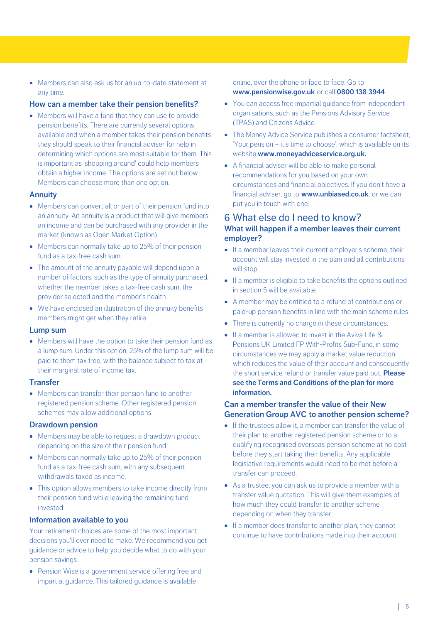· Members can also ask us for an up-to-date statement at any time.

#### **How can a member take their pension benefits?**

· Members will have a fund that they can use to provide pension benefits. There are currently several options available and when a member takes their pension benefits they should speak to their financial adviser for help in determining which options are most suitable for them. This is important as 'shopping around' could help members obtain a higher income. The options are set out below. Members can choose more than one option.

#### **Annuity**

- Members can convert all or part of their pension fund into an annuity. An annuity is a product that will give members an income and can be purchased with any provider in the market (known as Open Market Option).
- Members can normally take up to 25% of their pension fund as a tax-free cash sum.
- The amount of the annuity payable will depend upon a number of factors, such as the type of annuity purchased, whether the member takes a tax-free cash sum, the provider selected and the member's health.
- · We have enclosed an illustration of the annuity benefits members might get when they retire.

#### **Lump sum**

· Members will have the option to take their pension fund as a lump sum. Under this option, 25% of the lump sum will be paid to them tax free, with the balance subject to tax at their marginal rate of income tax.

#### **Transfer**

• Members can transfer their pension fund to another registered pension scheme. Other registered pension schemes may allow additional options.

#### **Drawdown pension**

- Members may be able to request a drawdown product depending on the size of their pension fund.
- Members can normally take up to 25% of their pension fund as a tax-free cash sum, with any subsequent withdrawals taxed as income.
- · This option allows members to take income directly from their pension fund while leaving the remaining fund invested.

#### **Information available to you**

Your retirement choices are some of the most important decisions you'll ever need to make. We recommend you get guidance or advice to help you decide what to do with your pension savings.

· Pension Wise is a government service offering free and impartial guidance. This tailored guidance is available

online, over the phone or face to face. Go to **www.pensionwise.gov.uk** or call **0800 138 3944**.

- · You can access free impartial guidance from independent organisations, such as the Pensions Advisory Service (TPAS) and Citizens Advice.
- · The Money Advice Service publishes a consumer factsheet, 'Your pension – it's time to choose', which is available on its website **www.moneyadviceservice.org.uk.**
- A financial adviser will be able to make personal recommendations for you based on your own circumstances and financial objectives. If you don't have a financial adviser, go to **www.unbiased.co.uk**, or we can put you in touch with one.

#### 6 What else do I need to know?

#### **What will happen if a member leaves their current employer?**

- · If a member leaves their current employer's scheme, their account will stay invested in the plan and all contributions will stop.
- · If a member is eligible to take benefits the options outlined in section 5 will be available.
- · A member may be entitled to a refund of contributions or paid-up pension benefits in line with the main scheme rules.
- · There is currently no charge in these circumstances.
- · If a member is allowed to invest in the Aviva Life & Pensions UK Limited FP With-Profits Sub-Fund, in some circumstances we may apply a market value reduction which reduces the value of their account and consequently the short service refund or transfer value paid out. **Please see the Terms and Conditions of the plan for more information.**

#### **Can a member transfer the value of their New Generation Group AVC to another pension scheme?**

- · If the trustees allow it, a member can transfer the value of their plan to another registered pension scheme or to a qualifying recognised overseas pension scheme at no cost before they start taking their benefits. Any applicable legislative requirements would need to be met before a transfer can proceed.
- · As a trustee, you can ask us to provide a member with a transfer value quotation. This will give them examples of how much they could transfer to another scheme depending on when they transfer.
- · If a member does transfer to another plan, they cannot continue to have contributions made into their account.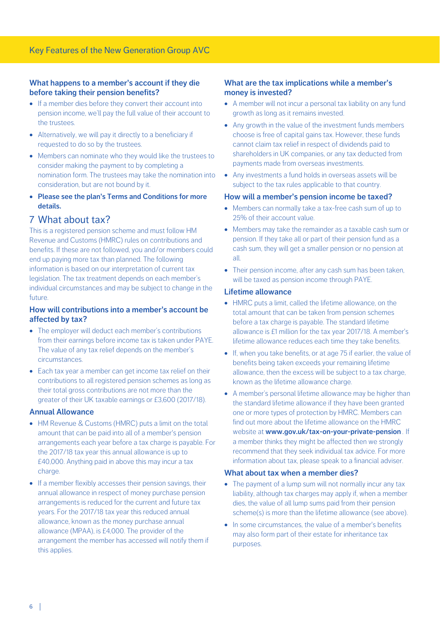#### **What happens to a member's account if they die before taking their pension benefits?**

- · If a member dies before they convert their account into pension income, we'll pay the full value of their account to the trustees.
- Alternatively, we will pay it directly to a beneficiary if requested to do so by the trustees.
- · Members can nominate who they would like the trustees to consider making the payment to by completing a nomination form. The trustees may take the nomination into consideration, but are not bound by it.
- · **Please see the plan's Terms and Conditions for more details.**

#### 7 What about tax?

This is a registered pension scheme and must follow HM Revenue and Customs (HMRC) rules on contributions and benefits. If these are not followed, you and/or members could end up paying more tax than planned. The following information is based on our interpretation of current tax legislation. The tax treatment depends on each member's individual circumstances and may be subject to change in the future.

#### **How will contributions into a member's account be affected by tax?**

- The employer will deduct each member's contributions from their earnings before income tax is taken under PAYE. The value of any tax relief depends on the member's circumstances.
- Each tax year a member can get income tax relief on their contributions to all registered pension schemes as long as their total gross contributions are not more than the greater of their UK taxable earnings or £3,600 (2017/18).

#### **Annual Allowance**

- HM Revenue & Customs (HMRC) puts a limit on the total amount that can be paid into all of a member's pension arrangements each year before a tax charge is payable. For the 2017/18 tax year this annual allowance is up to £40,000. Anything paid in above this may incur a tax charge.
- · If a member flexibly accesses their pension savings, their annual allowance in respect of money purchase pension arrangements is reduced for the current and future tax years. For the 2017/18 tax year this reduced annual allowance, known as the money purchase annual allowance (MPAA), is £4,000. The provider of the arrangement the member has accessed will notify them if this applies.

#### **What are the tax implications while a member's money is invested?**

- A member will not incur a personal tax liability on any fund growth as long as it remains invested.
- · Any growth in the value of the investment funds members choose is free of capital gains tax. However, these funds cannot claim tax relief in respect of dividends paid to shareholders in UK companies, or any tax deducted from payments made from overseas investments.
- · Any investments a fund holds in overseas assets will be subject to the tax rules applicable to that country.

#### **How will a member's pension income be taxed?**

- · Members can normally take a tax-free cash sum of up to 25% of their account value.
- · Members may take the remainder as a taxable cash sum or pension. If they take all or part of their pension fund as a cash sum, they will get a smaller pension or no pension at all.
- · Their pension income, after any cash sum has been taken, will be taxed as pension income through PAYE.

#### **Lifetime allowance**

- HMRC puts a limit, called the lifetime allowance, on the total amount that can be taken from pension schemes before a tax charge is payable. The standard lifetime allowance is £1 million for the tax year 2017/18. A member's lifetime allowance reduces each time they take benefits.
- · If, when you take benefits, or at age 75 if earlier, the value of benefits being taken exceeds your remaining lifetime allowance, then the excess will be subject to a tax charge, known as the lifetime allowance charge.
- · A member's personal lifetime allowance may be higher than the standard lifetime allowance if they have been granted one or more types of protection by HMRC. Members can find out more about the lifetime allowance on the HMRC website at **www.gov.uk/tax-on-your-private-pension .** If a member thinks they might be affected then we strongly recommend that they seek individual tax advice. For more information about tax, please speak to a financial adviser.

#### **What abou[t tax when a member dies?](https://www.gov.uk/tax-on-your-private-pension)**

- The payment of a lump sum will not normally incur any tax liability, although tax charges may apply if, when a member dies, the value of all lump sums paid from their pension scheme(s) is more than the lifetime allowance (see above).
- · In some circumstances, the value of a member's benefits may also form part of their estate for inheritance tax purposes.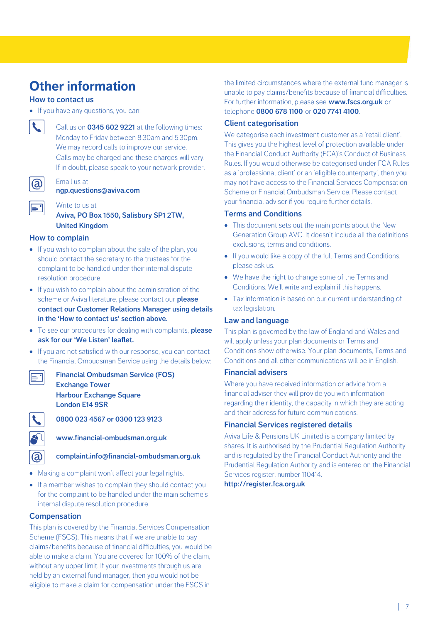## **Other information**

#### **How to contact us**

· If you have any questions, you can:



Call us on **0345 602 9221** at the following times: Monday to Friday between 8.30am and 5.30pm. We may record calls to improve our service. Calls may be charged and these charges will vary. If in doubt, please speak to your network provider.

Email us at **ngp.questions@aviva.com**



Write to us at

**Aviva, PO Box 1550, Salisbury SP1 2TW, [United Kingdom](mailto:ngp.questions@aviva.com)**

#### **How to complain**

- · If you wish to complain about the sale of the plan, you should contact the secretary to the trustees for the complaint to be handled under their internal dispute resolution procedure.
- · If you wish to complain about the administration of the scheme or Aviva literature, please contact our **please contact our Customer Relations Manager using details in the 'How to contact us' section above.**
- · To see our procedures for dealing with complaints, **please ask for our 'We Listen' leaflet.**
- · If you are not satisfied with our response, you can contact the Financial Ombudsman Service using the details below:



**Financial Ombudsman Service (FOS) Exchange Tower Harbour Exchange Square London E14 9SR**



 $\overline{a}$ 

**0800 023 4567 or 0300 123 9123**

**www.financial-ombudsman.org.uk**

**complaint.info@financial-ombudsman.org.uk**

- Making a complaint won't affect your legal rights.
- · If a member wishes to complain they should contact you for the complaint to be handled under the main scheme's internal dispute resolution procedure.

#### **Compensation**

This plan is covered by the Financial Services Compensation Scheme (FSCS). This means that if we are unable to pay claims/benefits because of financial difficulties, you would be able to make a claim. You are covered for 100% of the claim, without any upper limit. If your investments through us are held by an external fund manager, then you would not be eligible to make a claim for compensation under the FSCS in

the limited circumstances where the external fund manager is unable to pay claims/benefits because of financial difficulties. For further information, please see **www.fscs.org.uk** or telephone **0800 678 1100** or **020 7741 4100**.

#### **Client categorisation**

We categorise each investment customer as a 'retail client'. This gives you the highest level of protection available under the Financial Conduct Authority (FCA)'s Conduct of Business Rules. If you would otherwise be categorised under FCA Rules as a 'professional client' or an 'eligible counterparty', then you may not have access to the Financial Services Compensation Scheme or Financial Ombudsman Service. Please contact your financial adviser if you require further details.

#### **Terms and Conditions**

- This document sets out the main points about the New Generation Group AVC. It doesn't include all the definitions, exclusions, terms and conditions.
- · If you would like a copy of the full Terms and Conditions, please ask us.
- · We have the right to change some of the Terms and Conditions. We'll write and explain if this happens.
- · Tax information is based on our current understanding of tax legislation.

#### **Law and language**

This plan is governed by the law of England and Wales and will apply unless your plan documents or Terms and Conditions show otherwise. Your plan documents, Terms and Conditions and all other communications will be in English.

#### **Financial advisers**

Where you have received information or advice from a financial adviser they will provide you with information regarding their identity, the capacity in which they are acting and their address for future communications.

#### **Financial Services registered details**

Aviva Life & Pensions UK Limited is a company limited by shares. It is authorised by the Prudential Regulation Authority and is regulated by the Financial Conduct Authority and the Prudential Regulation Authority and is entered on the Financial Services register, number 110414.

**http://register.fca.org.uk**